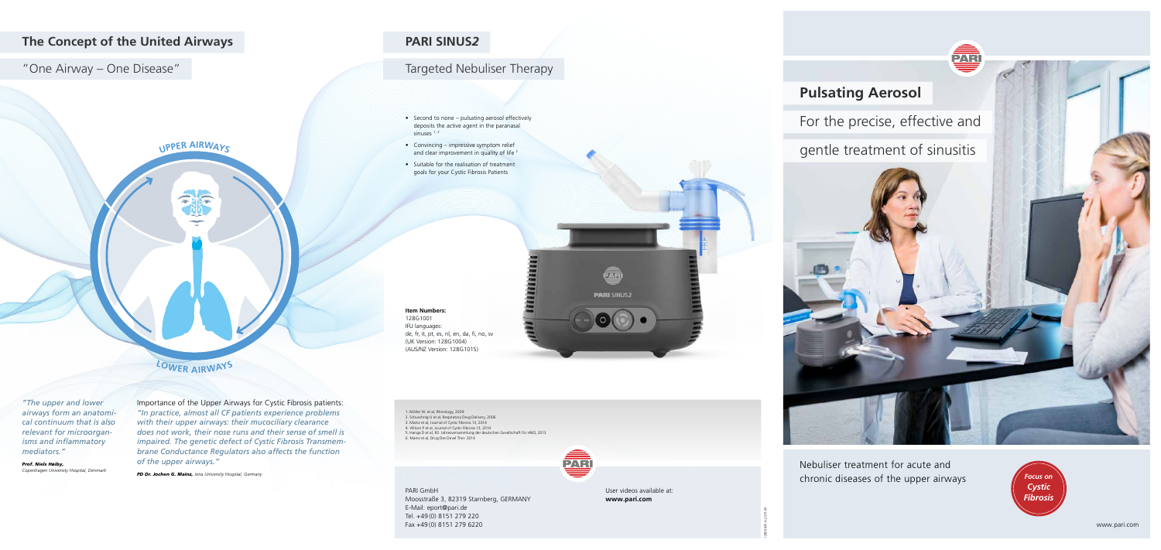





## **The Concept of the United Airways**

## "One Airway – One Disease"

User videos available at: **www.pari.com**

- Second to none pulsating aerosol effectively deposits the active agent in the paranasal sinuses  $1, 2$
- Convincing impressive symptom relief and clear improvement in quality of life<sup>5</sup>
- Suitable for the realisation of treatment goals for your Cystic Fibrosis Patients

1. Möller W. et al, Rhinology, 2009 2. Schuschnig U et al, Respiratory Drug Delivery, 2006 3. Mainz et al, Journal of Cystic Fibrosis 13, 2014 4. Wilson P et al, Journal of Cystic Fibrosis 13, 2014 5. Hanga D et al, 83. Jahresversammlung der deutschen Gesellschaft für HNO, 2013 6. Mainz et al, Drug Des Devel Ther. 2014



128D0005-A-2019-09

Nebuliser treatment for acute and chronic diseases of the upper airways

# **Pulsating Aerosol**

For the precise, effective and

gentle treatment of sinusitis



## **PARI SINUS***2*

## Targeted Nebuliser Therapy

PARI GmbH Moosstraße 3, 82319 Starnberg, GERMANY E-Mail: eport@pari.de Tel. +49 (0) 8151 279 220 Fax +49 (0) 8151 279 6220



Importance of the Upper Airways for Cystic Fibrosis patients: *"In practice, almost all CF patients experience problems with their upper airways: their mucociliary clearance does not work, their nose runs and their sense of smell is impaired. The genetic defect of Cystic Fibrosis Transmembrane Conductance Regulators also affects the function of the upper airways."*

*PD Dr. Jochen G. Mainz, Jena University Hospital, Germany*

**<sup>U</sup>PPE<sup>R</sup> <sup>A</sup>IRWAY<sup>S</sup>**

都

# **<sup>L</sup>OWE<sup>R</sup> <sup>A</sup>IRWAY<sup>S</sup>**

*"The upper and lower airways form an anatomical continuum that is also relevant for microorganisms and inflammatory mediators."*

*Prof. Niels Høiby, Copenhagen University Hospital, Denmark*

### **Item Numbers:**  128G1001

IFU languages: de, fr, it, pt, es, nl, en, da, fi, no, sv (UK Version: 128G1004) (AUS/NZ Version: 128G1015)